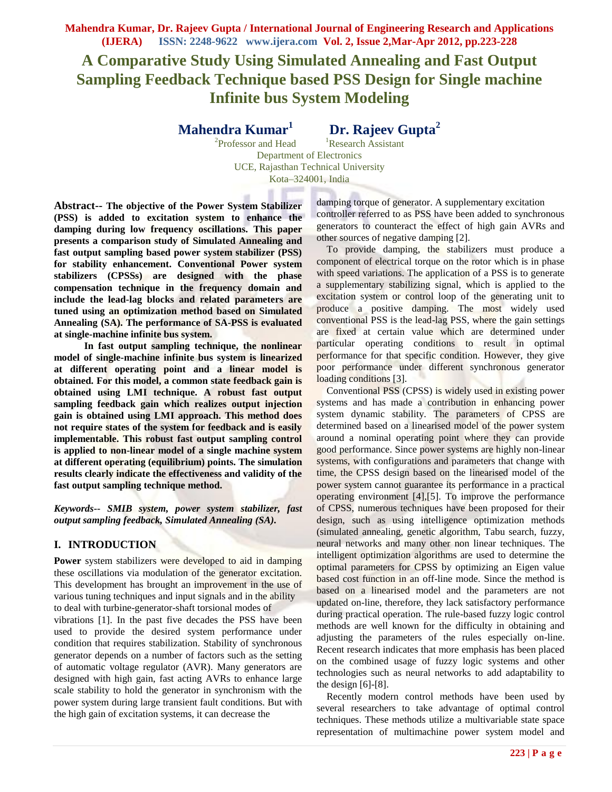**Mahendra Kumar, Dr. Rajeev Gupta / International Journal of Engineering Research and Applications (IJERA) ISSN: 2248-9622 www.ijera.com Vol. 2, Issue 2,Mar-Apr 2012, pp.223-228**

# **A Comparative Study Using Simulated Annealing and Fast Output Sampling Feedback Technique based PSS Design for Single machine Infinite bus System Modeling**

**Mahendra Kumar<sup>1</sup>**

 **Dr. Rajeev Gupta<sup>2</sup>**

<sup>2</sup>Professor and Head <sup>1</sup>Research Assistant Department of Electronics UCE, Rajasthan Technical University Kota–324001, India

**Abstract-- The objective of the Power System Stabilizer (PSS) is added to excitation system to enhance the damping during low frequency oscillations. This paper presents a comparison study of Simulated Annealing and fast output sampling based power system stabilizer (PSS) for stability enhancement. Conventional Power system stabilizers (CPSSs) are designed with the phase compensation technique in the frequency domain and include the lead-lag blocks and related parameters are tuned using an optimization method based on Simulated Annealing (SA). The performance of SA-PSS is evaluated at single-machine infinite bus system.** 

 **In fast output sampling technique, the nonlinear model of single-machine infinite bus system is linearized at different operating point and a linear model is obtained. For this model, a common state feedback gain is obtained using LMI technique. A robust fast output sampling feedback gain which realizes output injection gain is obtained using LMI approach. This method does not require states of the system for feedback and is easily implementable. This robust fast output sampling control is applied to non-linear model of a single machine system at different operating (equilibrium) points. The simulation results clearly indicate the effectiveness and validity of the fast output sampling technique method.**

*Keywords***--** *SMIB system, power system stabilizer, fast output sampling feedback, Simulated Annealing (SA).*

# **I. INTRODUCTION**

**Power** system stabilizers were developed to aid in damping these oscillations via modulation of the generator excitation. This development has brought an improvement in the use of various tuning techniques and input signals and in the ability to deal with turbine-generator-shaft torsional modes of

vibrations [1]. In the past five decades the PSS have been used to provide the desired system performance under condition that requires stabilization. Stability of synchronous generator depends on a number of factors such as the setting of automatic voltage regulator (AVR). Many generators are designed with high gain, fast acting AVRs to enhance large scale stability to hold the generator in synchronism with the power system during large transient fault conditions. But with the high gain of excitation systems, it can decrease the

damping torque of generator. A supplementary excitation controller referred to as PSS have been added to synchronous generators to counteract the effect of high gain AVRs and other sources of negative damping [2].

To provide damping, the stabilizers must produce a component of electrical torque on the rotor which is in phase with speed variations. The application of a PSS is to generate a supplementary stabilizing signal, which is applied to the excitation system or control loop of the generating unit to produce a positive damping. The most widely used conventional PSS is the lead-lag PSS, where the gain settings are fixed at certain value which are determined under particular operating conditions to result in optimal performance for that specific condition. However, they give poor performance under different synchronous generator loading conditions [3].

Conventional PSS (CPSS) is widely used in existing power systems and has made a contribution in enhancing power system dynamic stability. The parameters of CPSS are determined based on a linearised model of the power system around a nominal operating point where they can provide good performance. Since power systems are highly non-linear systems, with configurations and parameters that change with time, the CPSS design based on the linearised model of the power system cannot guarantee its performance in a practical operating environment [4],[5]. To improve the performance of CPSS, numerous techniques have been proposed for their design, such as using intelligence optimization methods (simulated annealing, genetic algorithm, Tabu search, fuzzy, neural networks and many other non linear techniques. The intelligent optimization algorithms are used to determine the optimal parameters for CPSS by optimizing an Eigen value based cost function in an off-line mode. Since the method is based on a linearised model and the parameters are not updated on-line, therefore, they lack satisfactory performance during practical operation. The rule-based fuzzy logic control methods are well known for the difficulty in obtaining and adjusting the parameters of the rules especially on-line. Recent research indicates that more emphasis has been placed on the combined usage of fuzzy logic systems and other technologies such as neural networks to add adaptability to the design  $[6]-[8]$ .

Recently modern control methods have been used by several researchers to take advantage of optimal control techniques. These methods utilize a multivariable state space representation of multimachine power system model and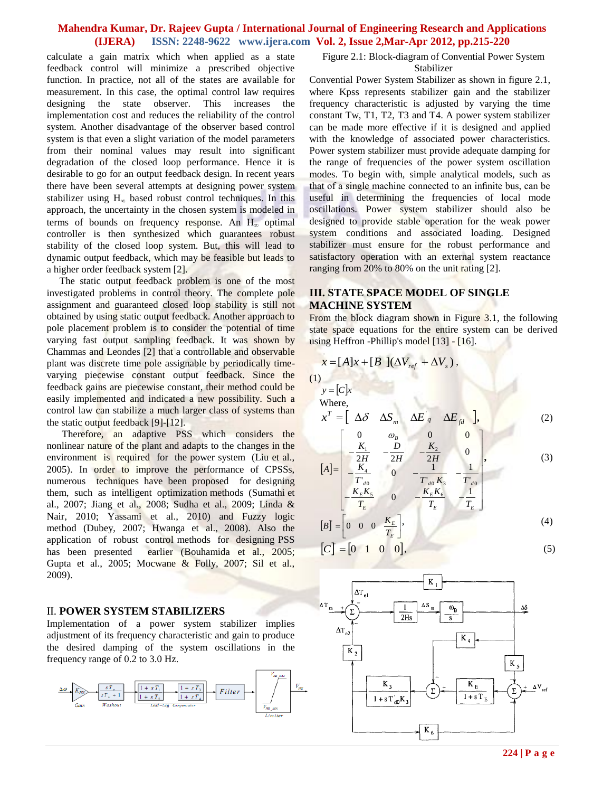## **Mahendra Kumar, Dr. Rajeev Gupta / International Journal of Engineering Research and Applications (IJERA) ISSN: 2248-9622 www.ijera.com Vol. 2, Issue 2,Mar-Apr 2012, pp.215-220**

calculate a gain matrix which when applied as a state feedback control will minimize a prescribed objective function. In practice, not all of the states are available for measurement. In this case, the optimal control law requires designing the state observer. This increases the implementation cost and reduces the reliability of the control system. Another disadvantage of the observer based control system is that even a slight variation of the model parameters from their nominal values may result into significant degradation of the closed loop performance. Hence it is desirable to go for an output feedback design. In recent years there have been several attempts at designing power system stabilizer using  $H_{\infty}$  based robust control techniques. In this approach, the uncertainty in the chosen system is modeled in terms of bounds on frequency response. An  $H_{\infty}$  optimal controller is then synthesized which guarantees robust stability of the closed loop system. But, this will lead to dynamic output feedback, which may be feasible but leads to a higher order feedback system [2].

The static output feedback problem is one of the most investigated problems in control theory. The complete pole assignment and guaranteed closed loop stability is still not obtained by using static output feedback. Another approach to pole placement problem is to consider the potential of time varying fast output sampling feedback. It was shown by Chammas and Leondes [2] that a controllable and observable plant was discrete time pole assignable by periodically timevarying piecewise constant output feedback. Since the feedback gains are piecewise constant, their method could be easily implemented and indicated a new possibility. Such a control law can stabilize a much larger class of systems than the static output feedback [9]-[12].

 Therefore, an adaptive PSS which considers the nonlinear nature of the plant and adapts to the changes in the environment is required for the power system (Liu et al., 2005). In order to improve the performance of CPSSs, numerous techniques have been proposed for designing them, such as intelligent optimization methods (Sumathi et al., 2007; Jiang et al., 2008; Sudha et al., 2009; Linda & Nair, 2010; Yassami et al., 2010) and Fuzzy logic method (Dubey, 2007; Hwanga etal., 2008). Also the application of robust control methods for designing PSS has been presented earlier (Bouhamida et al., 2005; Gupta et al., 2005; Mocwane & Folly, 2007; Sil et al., 2009).

#### II. **POWER SYSTEM STABILIZERS**

Implementation of a power system stabilizer implies adjustment of its frequency characteristic and gain to produce the desired damping of the system oscillations in the frequency range of 0.2 to 3.0 Hz.



Figure 2.1: Block-diagram of Convential Power System Stabilizer

Convential Power System Stabilizer as shown in figure 2.1, where Kpss represents stabilizer gain and the stabilizer frequency characteristic is adjusted by varying the time constant Tw, T1, T2, T3 and T4. A power system stabilizer can be made more effective if it is designed and applied with the knowledge of associated power characteristics. Power system stabilizer must provide adequate damping for the range of frequencies of the power system oscillation modes. To begin with, simple analytical models, such as that of a single machine connected to an infinite bus, can be useful in determining the frequencies of local mode oscillations. Power system stabilizer should also be designed to provide stable operation for the weak power system conditions and associated loading. Designed stabilizer must ensure for the robust performance and satisfactory operation with an external system reactance ranging from 20% to 80% on the unit rating [2].

## **III. STATE SPACE MODEL OF SINGLE MACHINE SYSTEM**

From the block diagram shown in Figure 3.1, the following state space equations for the entire system can be derived using Heffron -Phillip's model [13] - [16].

$$
x = [A]x + [B](\Delta V_{ref} + \Delta V_s),
$$

 $y = C|x$ Where

 $\mathbf{L}$ 

 $T'$  $d0$ 

 $\Gamma$ 

 $(1)$ 

$$
x^{T} = \left[ \begin{array}{ccc} \Delta \delta & \Delta S_{m} & \Delta E_{q}^{'} & \Delta E_{fd} \end{array} \right], \tag{2}
$$

$$
[A] = \begin{bmatrix} 0 & \omega_B & 0 & 0 \\ -\frac{K_1}{2H} & -\frac{D}{2H} & -\frac{K_2}{2H} & 0 \\ -\frac{K_4}{2H} & 0 & -\frac{1}{2H} & -\frac{1}{2H} \end{bmatrix},
$$
(3)

 $T'_{d0} K_3 T$ 

0  $T'_{d0} K_3 T'_{d0}$ 

 $\overline{\phantom{a}}$ 

 $\overline{1}$ 

$$
\begin{bmatrix} I & \frac{d}{d0} & \frac{1}{2} & \frac{d}{d0} \\ -\frac{K_E K_S}{T_E} & 0 & -\frac{K_E K_6}{T_E} & -\frac{1}{T_E} \end{bmatrix}
$$
\n
$$
[B] = \begin{bmatrix} 0 & 0 & 0 & \frac{K_E}{T_E} \end{bmatrix},
$$
\n(4)

$$
[C] = [0 \quad 1 \quad 0 \quad 0],\tag{5}
$$

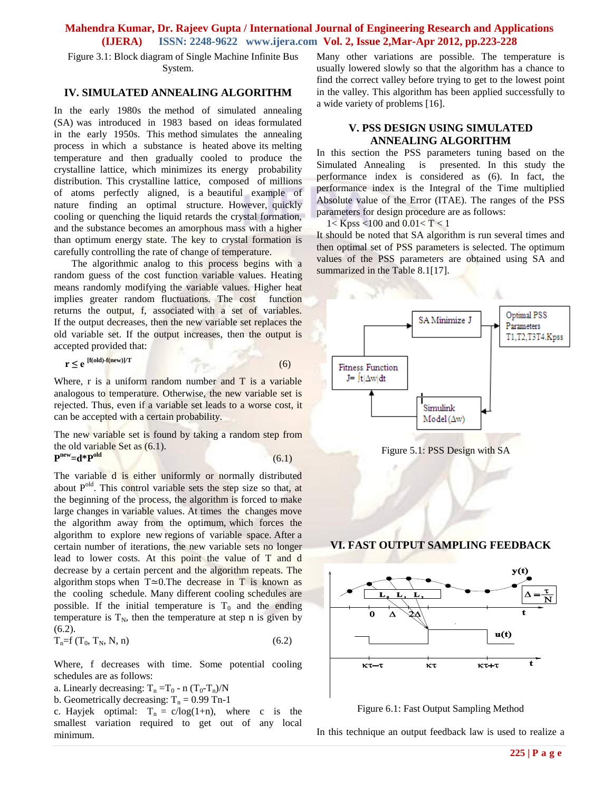# **Mahendra Kumar, Dr. Rajeev Gupta / International Journal of Engineering Research and Applications (IJERA) ISSN: 2248-9622 www.ijera.com Vol. 2, Issue 2,Mar-Apr 2012, pp.223-228**

Figure 3.1: Block diagram of Single Machine Infinite Bus System.

#### **IV. SIMULATED ANNEALING ALGORITHM**

In the early 1980s the method of simulated annealing (SA) was introduced in 1983 based on ideas formulated in the early 1950s. This method simulates the annealing process in which a substance is heated above its melting temperature and then gradually cooled to produce the crystalline lattice, which minimizes its energy probability distribution. This crystalline lattice, composed of millions of atoms perfectly aligned, is a beautiful example of nature finding an optimal structure. However, quickly cooling or quenching the liquid retards the crystal formation, and the substance becomes an amorphous mass with a higher than optimum energy state. The key to crystal formation is carefully controlling the rate of change of temperature.

 The algorithmic analog to this process begins with a random guess of the cost function variable values. Heating means randomly modifying the variable values. Higher heat implies greater random fluctuations. The cost function returns the output, f, associated with a set of variables. If the output decreases, then the new variable set replaces the old variable set. If the output increases, then the output is accepted provided that:

$$
\mathbf{r} \le \mathbf{e}^{[\mathbf{f}(\mathbf{old})-\mathbf{f}(\mathbf{new})]/\mathbf{T}} \tag{6}
$$

Where,  $r$  is a uniform random number and  $T$  is a variable analogous to temperature. Otherwise, the new variable set is rejected. Thus, even if a variable set leads to a worse cost, it can be accepted with a certain probability.

The new variable set is found by taking a random step from the old variable Set as (6.1). **P old**

$$
e^{\text{new}} = d^*P^{\text{old}} \tag{6.1}
$$

The variable d is either uniformly or normally distributed about  $P<sup>old</sup>$ . This control variable sets the step size so that, at the beginning of the process, the algorithm is forced to make large changes in variable values. At times the changes move the algorithm away from the optimum, which forces the algorithm to explore new regions of variable space. After a certain number of iterations, the new variable sets no longer lead to lower costs. At this point the value of T and d decrease by a certain percent and the algorithm repeats. The algorithm stops when T≃0.The decrease in T is known as the cooling schedule. Many different cooling schedules are possible. If the initial temperature is  $T_0$  and the ending temperature is  $T_N$ , then the temperature at step n is given by  $(6.2)$ .

$$
T_n = f(T_0, T_N, N, n) \tag{6.2}
$$

Where, f decreases with time. Some potential cooling schedules are as follows:

- a. Linearly decreasing:  $T_n = T_0 n (T_0 T_n)/N$
- b. Geometrically decreasing:  $T_n = 0.99$  Tn-1

c. Hayjek optimal:  $T_n = c/log(1+n)$ , where c is the smallest variation required to get out of any local minimum.

Many other variations are possible. The temperature is usually lowered slowly so that the algorithm has a chance to find the correct valley before trying to get to the lowest point in the valley. This algorithm has been applied successfully to a wide variety of problems [16].

# **V. PSS DESIGN USING SIMULATED ANNEALING ALGORITHM**

In this section the PSS parameters tuning based on the Simulated Annealing is presented. In this study the performance index is considered as (6). In fact, the performance index is the Integral of the Time multiplied Absolute value of the Error (ITAE). The ranges of the PSS parameters for design procedure are as follows:

 $1 <$  Kpss <100 and 0.01 < T < 1

It should be noted that SA algorithm is run several times and then optimal set of PSS parameters is selected. The optimum values of the PSS parameters are obtained using SA and summarized in the Table 8.1[17].





Figure 6.1: Fast Output Sampling Method

In this technique an output feedback law is used to realize a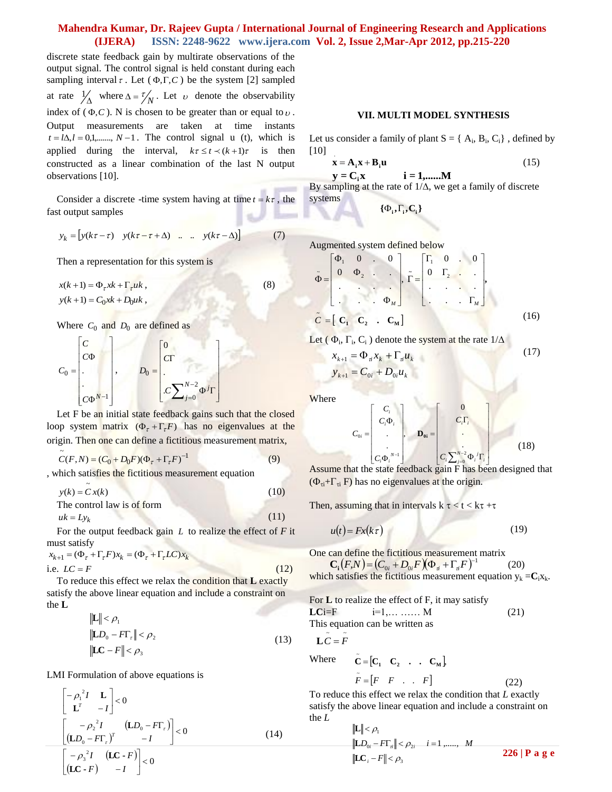## **Mahendra Kumar, Dr. Rajeev Gupta / International Journal of Engineering Research and Applications (IJERA) ISSN: 2248-9622 www.ijera.com Vol. 2, Issue 2,Mar-Apr 2012, pp.215-220**

discrete state feedback gain by multirate observations of the output signal. The control signal is held constant during each sampling interval  $\tau$ . Let  $(\Phi, \Gamma, C)$  be the system [2] sampled at rate  $\frac{1}{\Delta}$  where  $\Delta = \frac{\tau}{N}$ . Let v denote the observability index of  $(\Phi, C)$ . N is chosen to be greater than or equal to  $\nu$ . Output measurements are taken at time instants  $t = l\Delta, l = 0,1, \dots, N-1$ . The control signal u (t), which is applied during the interval,  $k\tau \le t \le (k+1)\tau$  is then constructed as a linear combination of the last N output observations [10].

Consider a discrete -time system having at time  $t = k\tau$ , the fast output samples

$$
y_k = [y(k\tau - \tau) \quad y(k\tau - \tau + \Delta) \quad \dots \quad y(k\tau - \Delta)] \tag{7}
$$

Then a representation for this system is

 $x(k+1) = \Phi_{\tau} xk + \Gamma_{\tau} u k,$  (8)  $y(k+1) = C_0 x k + D_0 u k$ ,

Where  $C_0$  and  $D_0$  are defined as

$$
C_0 = \begin{bmatrix} C \\ C\Phi \\ \vdots \\ C\Phi^{N-1} \end{bmatrix}, \qquad D_0 = \begin{bmatrix} 0 \\ C\Gamma \\ \vdots \\ C\sum_{j=0}^{N-2} \Phi^j \Gamma \end{bmatrix}
$$

Let F be an initial state feedback gains such that the closed loop system matrix  $(\Phi_{\tau} + \Gamma_{\tau}F)$  has no eigenvalues at the origin. Then one can define a fictitious measurement matrix,

$$
\tilde{C}(F,N) = (C_0 + D_0 F)(\Phi_{\tau} + \Gamma_{\tau} F)^{-1}
$$
\n(9)

, which satisfies the fictitious measurement equation

$$
y(k) = \tilde{C} x(k)
$$
 (10)  
The control law is of form

 $uk = Ly_k$ (11)

For the output feedback gain *L* to realize the effect of *F* it must satisfy

$$
x_{k+1} = (\Phi_{\tau} + \Gamma_{\tau} F)x_k = (\Phi_{\tau} + \Gamma_{\tau} LC)x_k
$$
  
i.e.  $LC = F$  (12)

To reduce this effect we relax the condition that **L** exactly satisfy the above linear equation and include a constraint on the **L**

$$
\|\mathbf{L}\| < \rho_1
$$
  
\n
$$
\|\mathbf{L}D_0 - F\mathbf{T}_\tau\| < \rho_2
$$
  
\n
$$
\|\mathbf{L}C - F\| < \rho_3
$$
\n(13)

LMI Formulation of above equations is

$$
\begin{bmatrix} -\rho_1^2 I & \mathbf{L} \\ \mathbf{L}^T & -I \end{bmatrix} < 0
$$
  

$$
\begin{bmatrix} -\rho_2^2 I & (\mathbf{L}D_0 - F\mathbf{T}_r) \\ (\mathbf{L}D_0 - F\mathbf{T}_r)^T & -I \end{bmatrix} < 0
$$
 (14)  

$$
\begin{bmatrix} -\rho_3^2 I & (\mathbf{L}C - F) \\ (\mathbf{L}C - F) & -I \end{bmatrix} < 0
$$

#### **VII. MULTI MODEL SYNTHESIS**

Let us consider a family of plant  $S = \{ A_i, B_i, C_i \}$ , defined by [10] .

$$
\mathbf{x} = \mathbf{A}_i \mathbf{x} + \mathbf{B}_i \mathbf{u} \tag{15}
$$

By sampling at the rate of  $1/\Delta$ , we get a family of discrete systems  $y = C_i x$  **i** = **1**,......M

$$
\{\boldsymbol{\Phi}_i, \boldsymbol{\Gamma}_i, \mathbf{C}_i\}
$$

Augmented system defined below

$$
\tilde{\Phi} = \begin{bmatrix} \Phi_1 & 0 & \cdots & 0 \\ 0 & \Phi_2 & \cdots & \vdots \\ \vdots & \vdots & \ddots & \vdots \\ 0 & \cdots & \cdots & \Phi_M \end{bmatrix}, \tilde{\Gamma} = \begin{bmatrix} \Gamma_1 & 0 & \cdots & 0 \\ 0 & \Gamma_2 & \cdots & \vdots \\ \vdots & \ddots & \vdots & \vdots \\ \vdots & \ddots & \vdots & \vdots \\ \vdots & \ddots & \vdots & \vdots \\ \vdots & \ddots & \vdots & \vdots \\ \vdots & \ddots & \vdots & \vdots \\ \vdots & \ddots & \vdots & \vdots \end{bmatrix},
$$
\n(16)

Let ( $\Phi_i$ ,  $\Gamma_i$ , C<sub>i</sub>) denote the system at the rate  $1/\Delta$ 

$$
x_{k+1} = \Phi_{ai} x_k + \Gamma_{ai} u_k
$$
  
\n
$$
y_{k+1} = C_{0i} + D_{0i} u_k
$$
\n(17)

**Where** 

$$
C_{0i} = \begin{bmatrix} C_i \\ C_i \Phi_i \\ \vdots \\ C_i \Phi_i^{N-1} \end{bmatrix}, \quad \mathbf{D}_{0i} = \begin{bmatrix} 0 \\ C_i \Gamma_i \\ \vdots \\ C_i \sum_{j=0}^{N-2} \Phi_i^j \Gamma_i \end{bmatrix}
$$
(18)

 $[C_i \Phi_i^{\text{ref}}]$   $[C_i \sum_{j=0}^{\infty} \Phi_i^{\text{ref}}]$ <br>Assume that the state feedback gain F has been designed that  $(\Phi_{\pi} + \Gamma_{\pi} F)$  has no eigenvalues at the origin.

Then, assuming that in intervals  $k \tau < t < k\tau + \tau$ 

$$
u(t) = Fx(k\tau) \tag{19}
$$

One can define the fictitious measurement matrix  $\mathbf{C}_{\mathbf{i}}(F_{\mathbf{i}}N) = (C_{0i} + D_{0i}F)(\Phi_{\mathbf{i}} + \Gamma_{\mathbf{i}}F)^{-1}$  (20)  ${\bf C}_{\bf i} (F_iN) = (C_{0i} + D_{0i}F)(\Phi_{\vec{a}} + \Gamma_{\vec{a}}F)^{-1}$ 

which satisfies the fictitious measurement equation  $y_k = C_i x_k$ .

**For L to realize the effect of F, it may satisfy**  
**LCI**=F 
$$
i=1,..., M
$$
 (21)  
This equation can be written as  

$$
L\tilde{C} = \tilde{F}
$$

Where 
$$
\tilde{\mathbf{C}} = [\mathbf{C}_1 \quad \mathbf{C}_2 \quad \dots \quad \mathbf{C}_M]
$$
,  
\n $\tilde{F} = [F \quad F \quad \dots \quad F]$  (22)

To reduce this effect we relax the condition that *L* exactly satisfy the above linear equation and include a constraint on the *L*

$$
\|\mathbf{L}\| < \rho_1
$$
  
\n
$$
\|\mathbf{L}D_{0i} - F\mathbf{T}_n\| < \rho_{2i} \quad i = 1, \dots, M
$$
  
\n
$$
\|\mathbf{L}C_i - F\| < \rho_3
$$
  
\n226 | **P** a g e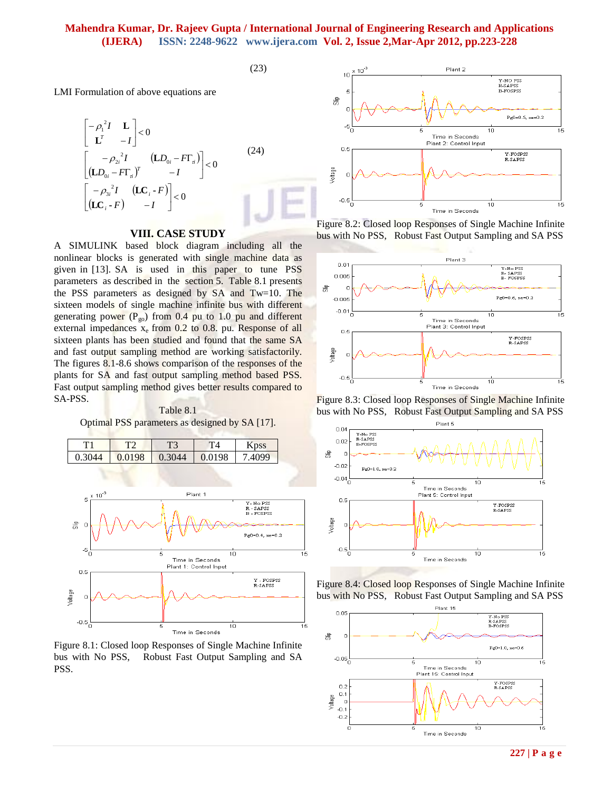## **Mahendra Kumar, Dr. Rajeev Gupta / International Journal of Engineering Research and Applications (IJERA) ISSN: 2248-9622 www.ijera.com Vol. 2, Issue 2,Mar-Apr 2012, pp.223-228**

 $(23)$ 

LMI Formulation of above equations are

$$
\begin{bmatrix} -\rho_1^2 I & \mathbf{L} \\ \mathbf{L}^T & -I \end{bmatrix} < 0
$$
  
\n
$$
\begin{bmatrix} -\rho_2^2 I & (\mathbf{L}D_{0i} - F\Gamma_a) \\ (\mathbf{L}D_{0i} - F\Gamma_a)^T & -I \end{bmatrix} < 0
$$
  
\n
$$
\begin{bmatrix} -\rho_3^2 I & (\mathbf{L}C_i - F) \\ (\mathbf{L}C_i - F) & -I \end{bmatrix} < 0
$$
 (24)

### **VIII. CASE STUDY**

A SIMULINK based block diagram including all the nonlinear blocks is generated with single machine data as given in [13]. SA is used in this paper to tune PSS parameters as described in the section 5. Table 8.1 presents the PSS parameters as designed by SA and Tw=10. The sixteen models of single machine infinite bus with different generating power  $(P_{g0})$  from 0.4 pu to 1.0 pu and different external impedances  $x_e$  from 0.2 to 0.8. pu. Response of all sixteen plants has been studied and found that the same SA and fast output sampling method are working satisfactorily. The figures 8.1-8.6 shows comparison of the responses of the plants for SA and fast output sampling method based PSS. Fast output sampling method gives better results compared to SA-PSS.

Table 8.1 Optimal PSS parameters as designed by SA [17].



Figure 8.1: Closed loop Responses of Single Machine Infinite bus with No PSS, Robust Fast Output Sampling and SA PSS.



Figure 8.2: Closed loop Responses of Single Machine Infinite bus with No PSS, Robust Fast Output Sampling and SA PSS



Figure 8.3: Closed loop Responses of Single Machine Infinite bus with No PSS, Robust Fast Output Sampling and SA PSS